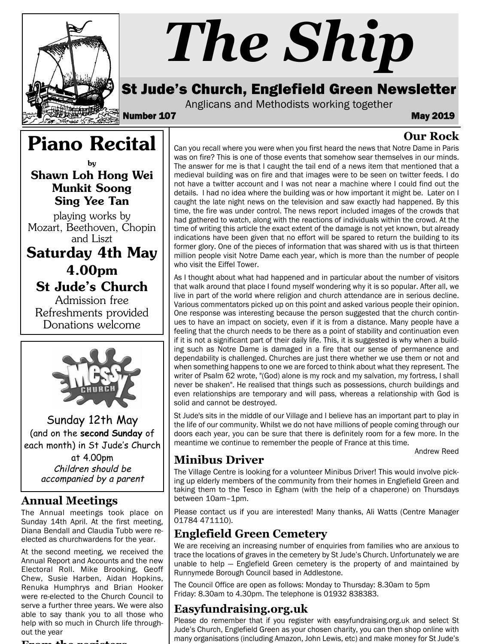

# *The Ship*

# St Jude's Church, Englefield Green Newsletter

Anglicans and Methodists working together

Number 107 May 2019

#### **Our Rock**

Piano Recital by Shawn Loh Hong Wei

Munkit Soong Sing Yee Tan

playing works by Mozart, Beethoven, Chopin and Liszt

Saturday 4th May 4.00pm St Jude's Church

Admission free Refreshments provided Donations welcome



Sunday 12th May (and on the **second Sunday** of each month) in St Jude's Church

> at 4.00pm Children should be accompanied by a parent

#### **Annual Meetings**

The Annual meetings took place on Sunday 14th April. At the first meeting, Diana Bendall and Claudia Tubb were reelected as churchwardens for the year.

At the second meeting, we received the Annual Report and Accounts and the new Electoral Roll. Mike Brooking, Geoff Chew, Susie Harben, Aidan Hopkins, Renuka Humphrys and Brian Hooker were re-elected to the Church Council to serve a further three years. We were also able to say thank you to all those who help with so much in Church life throughout the year

#### **From the registers**

Can you recall where you were when you first heard the news that Notre Dame in Paris was on fire? This is one of those events that somehow sear themselves in our minds. The answer for me is that I caught the tail end of a news item that mentioned that a medieval building was on fire and that images were to be seen on twitter feeds. I do not have a twitter account and I was not near a machine where I could find out the details. I had no idea where the building was or how important it might be. Later on I caught the late night news on the television and saw exactly had happened. By this time, the fire was under control. The news report included images of the crowds that had gathered to watch, along with the reactions of individuals within the crowd. At the time of writing this article the exact extent of the damage is not yet known, but already indications have been given that no effort will be spared to return the building to its former glory. One of the pieces of information that was shared with us is that thirteen million people visit Notre Dame each year, which is more than the number of people who visit the Eiffel Tower.

As I thought about what had happened and in particular about the number of visitors that walk around that place I found myself wondering why it is so popular. After all, we live in part of the world where religion and church attendance are in serious decline. Various commentators picked up on this point and asked various people their opinion. One response was interesting because the person suggested that the church continues to have an impact on society, even if it is from a distance. Many people have a feeling that the church needs to be there as a point of stability and continuation even if it is not a significant part of their daily life. This, it is suggested is why when a building such as Notre Dame is damaged in a fire that our sense of permanence and dependability is challenged. Churches are just there whether we use them or not and when something happens to one we are forced to think about what they represent. The writer of Psalm 62 wrote, "(God) alone is my rock and my salvation, my fortress, I shall never be shaken". He realised that things such as possessions, church buildings and even relationships are temporary and will pass, whereas a relationship with God is solid and cannot be destroyed.

St Jude's sits in the middle of our Village and I believe has an important part to play in the life of our community. Whilst we do not have millions of people coming through our doors each year, you can be sure that there is definitely room for a few more. In the meantime we continue to remember the people of France at this time.

Andrew Reed

## **Minibus Driver**

The Village Centre is looking for a volunteer Minibus Driver! This would involve picking up elderly members of the community from their homes in Englefield Green and taking them to the Tesco in Egham (with the help of a chaperone) on Thursdays between 10am–1pm.

Please contact us if you are interested! Many thanks, Ali Watts (Centre Manager 01784 471110).

## **Englefield Green Cemetery**

We are receiving an increasing number of enquiries from families who are anxious to trace the locations of graves in the cemetery by St Jude's Church. Unfortunately we are unable to help — Englefield Green cemetery is the property of and maintained by Runnymede Borough Council based in Addlestone.

The Council Office are open as follows: Monday to Thursday: 8.30am to 5pm Friday: 8.30am to 4.30pm. The telephone is 01932 838383.

## **Easyfundraising.org.uk**

Please do remember that if you register with easyfundraising.org.uk and select St Jude's Church, Englefield Green as your chosen charity, you can then shop online with many organisations (including Amazon, John Lewis, etc) and make money for St Jude's